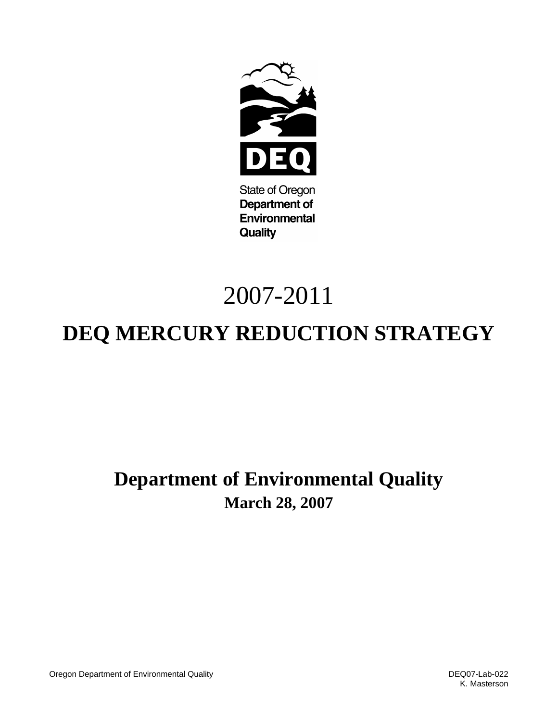

**State of Oregon Department of Environmental Quality** 

# 2007-2011

# **DEQ MERCURY REDUCTION STRATEGY**

# **Department of Environmental Quality March 28, 2007**

Oregon Department of Environmental Quality DEQ07-Lab-022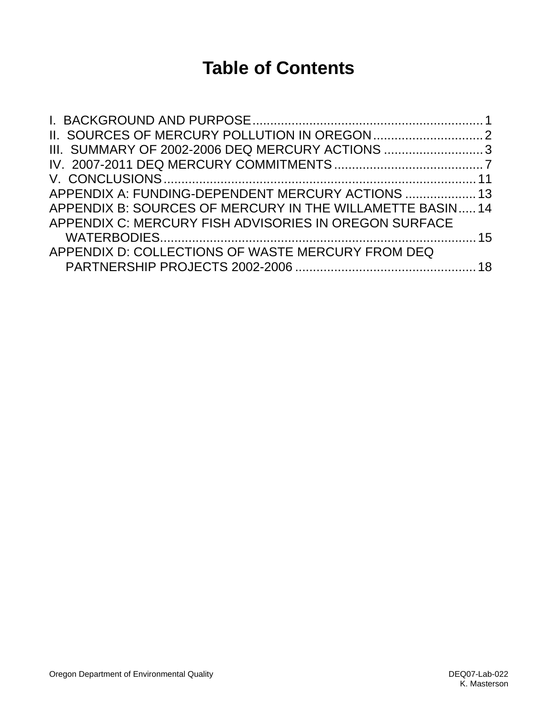# **Table of Contents**

| III. SUMMARY OF 2002-2006 DEQ MERCURY ACTIONS 3          |  |
|----------------------------------------------------------|--|
|                                                          |  |
|                                                          |  |
| APPENDIX A: FUNDING-DEPENDENT MERCURY ACTIONS  13        |  |
| APPENDIX B: SOURCES OF MERCURY IN THE WILLAMETTE BASIN14 |  |
| APPENDIX C: MERCURY FISH ADVISORIES IN OREGON SURFACE    |  |
|                                                          |  |
| APPENDIX D: COLLECTIONS OF WASTE MERCURY FROM DEQ        |  |
|                                                          |  |
|                                                          |  |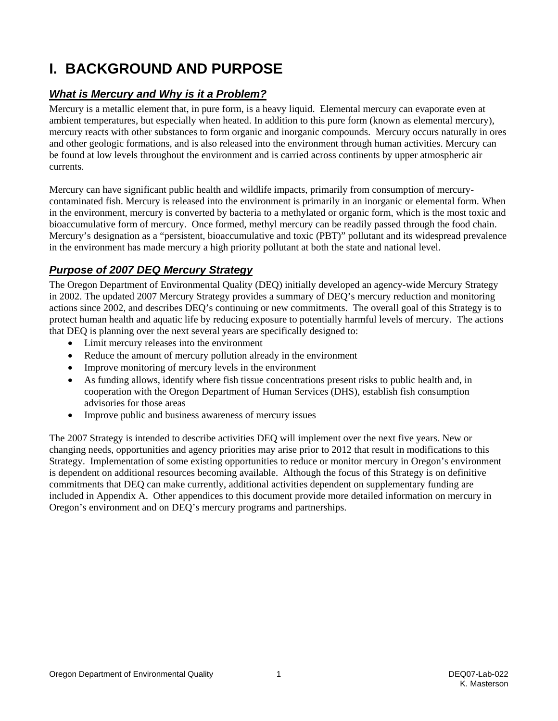# <span id="page-2-0"></span>**I. BACKGROUND AND PURPOSE**

# *What is Mercury and Why is it a Problem?*

Mercury is a metallic element that, in pure form, is a heavy liquid. Elemental mercury can evaporate even at ambient temperatures, but especially when heated. In addition to this pure form (known as elemental mercury), mercury reacts with other substances to form organic and inorganic compounds. Mercury occurs naturally in ores and other geologic formations, and is also released into the environment through human activities. Mercury can be found at low levels throughout the environment and is carried across continents by upper atmospheric air currents.

Mercury can have significant public health and wildlife impacts, primarily from consumption of mercurycontaminated fish. Mercury is released into the environment is primarily in an inorganic or elemental form. When in the environment, mercury is converted by bacteria to a methylated or organic form, which is the most toxic and bioaccumulative form of mercury. Once formed, methyl mercury can be readily passed through the food chain. Mercury's designation as a "persistent, bioaccumulative and toxic (PBT)" pollutant and its widespread prevalence in the environment has made mercury a high priority pollutant at both the state and national level.

# *Purpose of 2007 DEQ Mercury Strategy*

The Oregon Department of Environmental Quality (DEQ) initially developed an agency-wide Mercury Strategy in 2002. The updated 2007 Mercury Strategy provides a summary of DEQ's mercury reduction and monitoring actions since 2002, and describes DEQ's continuing or new commitments. The overall goal of this Strategy is to protect human health and aquatic life by reducing exposure to potentially harmful levels of mercury. The actions that DEQ is planning over the next several years are specifically designed to:

- Limit mercury releases into the environment
- Reduce the amount of mercury pollution already in the environment
- Improve monitoring of mercury levels in the environment
- As funding allows, identify where fish tissue concentrations present risks to public health and, in cooperation with the Oregon Department of Human Services (DHS), establish fish consumption advisories for those areas
- Improve public and business awareness of mercury issues

The 2007 Strategy is intended to describe activities DEQ will implement over the next five years. New or changing needs, opportunities and agency priorities may arise prior to 2012 that result in modifications to this Strategy. Implementation of some existing opportunities to reduce or monitor mercury in Oregon's environment is dependent on additional resources becoming available. Although the focus of this Strategy is on definitive commitments that DEQ can make currently, additional activities dependent on supplementary funding are included in Appendix A. Other appendices to this document provide more detailed information on mercury in Oregon's environment and on DEQ's mercury programs and partnerships.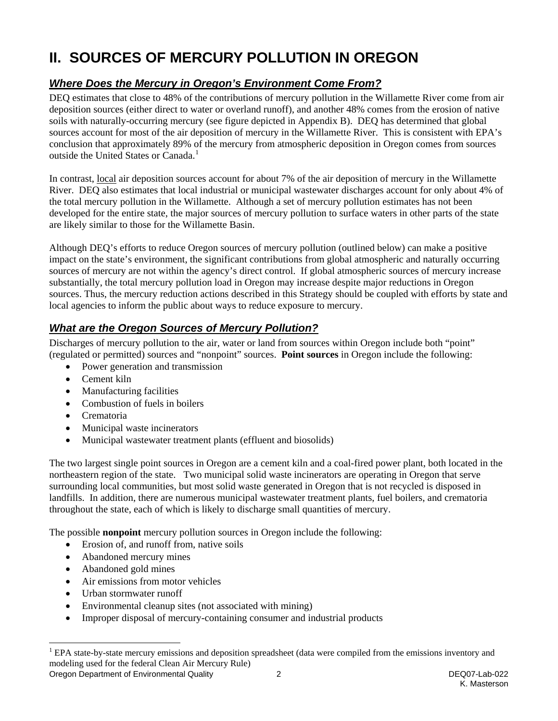# <span id="page-3-0"></span>**II. SOURCES OF MERCURY POLLUTION IN OREGON**

# *Where Does the Mercury in Oregon's Environment Come From?*

DEQ estimates that close to 48% of the contributions of mercury pollution in the Willamette River come from air deposition sources (either direct to water or overland runoff), and another 48% comes from the erosion of native soils with naturally-occurring mercury (see figure depicted in Appendix B). DEQ has determined that global sources account for most of the air deposition of mercury in the Willamette River. This is consistent with EPA's conclusion that approximately 89% of the mercury from atmospheric deposition in Oregon comes from sources outside the United States or Canada.<sup>[1](#page-3-1)</sup>

In contrast, local air deposition sources account for about 7% of the air deposition of mercury in the Willamette River. DEQ also estimates that local industrial or municipal wastewater discharges account for only about 4% of the total mercury pollution in the Willamette. Although a set of mercury pollution estimates has not been developed for the entire state, the major sources of mercury pollution to surface waters in other parts of the state are likely similar to those for the Willamette Basin.

Although DEQ's efforts to reduce Oregon sources of mercury pollution (outlined below) can make a positive impact on the state's environment, the significant contributions from global atmospheric and naturally occurring sources of mercury are not within the agency's direct control. If global atmospheric sources of mercury increase substantially, the total mercury pollution load in Oregon may increase despite major reductions in Oregon sources. Thus, the mercury reduction actions described in this Strategy should be coupled with efforts by state and local agencies to inform the public about ways to reduce exposure to mercury.

# *What are the Oregon Sources of Mercury Pollution?*

Discharges of mercury pollution to the air, water or land from sources within Oregon include both "point" (regulated or permitted) sources and "nonpoint" sources. **Point sources** in Oregon include the following:

- Power generation and transmission
- Cement kiln
- Manufacturing facilities
- Combustion of fuels in boilers
- Crematoria
- Municipal waste incinerators
- Municipal wastewater treatment plants (effluent and biosolids)

The two largest single point sources in Oregon are a cement kiln and a coal-fired power plant, both located in the northeastern region of the state. Two municipal solid waste incinerators are operating in Oregon that serve surrounding local communities, but most solid waste generated in Oregon that is not recycled is disposed in landfills. In addition, there are numerous municipal wastewater treatment plants, fuel boilers, and crematoria throughout the state, each of which is likely to discharge small quantities of mercury.

The possible **nonpoint** mercury pollution sources in Oregon include the following:

- Erosion of, and runoff from, native soils
- Abandoned mercury mines
- Abandoned gold mines

l

- Air emissions from motor vehicles
- Urban stormwater runoff
- Environmental cleanup sites (not associated with mining)
- Improper disposal of mercury-containing consumer and industrial products

Oregon Department of Environmental Quality 2 DEQ07-Lab-022

<span id="page-3-1"></span><sup>1</sup> EPA state-by-state mercury emissions and deposition spreadsheet (data were compiled from the emissions inventory and modeling used for the federal Clean Air Mercury Rule)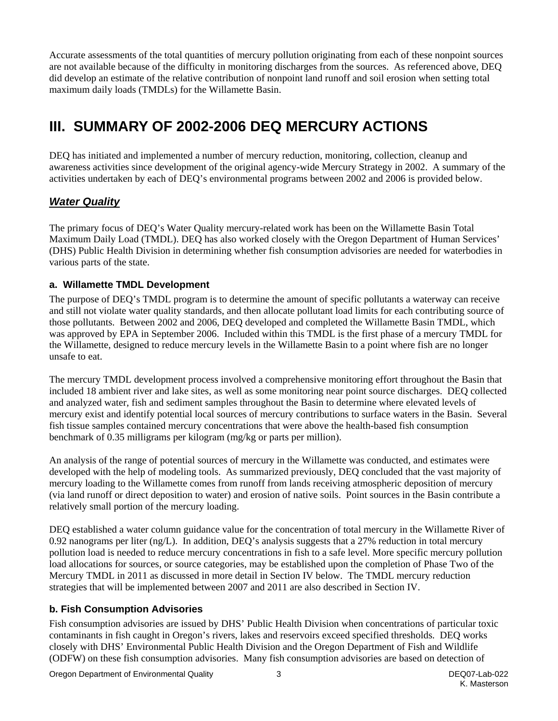<span id="page-4-0"></span>Accurate assessments of the total quantities of mercury pollution originating from each of these nonpoint sources are not available because of the difficulty in monitoring discharges from the sources. As referenced above, DEQ did develop an estimate of the relative contribution of nonpoint land runoff and soil erosion when setting total maximum daily loads (TMDLs) for the Willamette Basin.

# **III. SUMMARY OF 2002-2006 DEQ MERCURY ACTIONS**

DEQ has initiated and implemented a number of mercury reduction, monitoring, collection, cleanup and awareness activities since development of the original agency-wide Mercury Strategy in 2002. A summary of the activities undertaken by each of DEQ's environmental programs between 2002 and 2006 is provided below.

### *Water Quality*

The primary focus of DEQ's Water Quality mercury-related work has been on the Willamette Basin Total Maximum Daily Load (TMDL). DEQ has also worked closely with the Oregon Department of Human Services' (DHS) Public Health Division in determining whether fish consumption advisories are needed for waterbodies in various parts of the state.

#### **a. Willamette TMDL Development**

The purpose of DEQ's TMDL program is to determine the amount of specific pollutants a waterway can receive and still not violate water quality standards, and then allocate pollutant load limits for each contributing source of those pollutants. Between 2002 and 2006, DEQ developed and completed the Willamette Basin TMDL, which was approved by EPA in September 2006. Included within this TMDL is the first phase of a mercury TMDL for the Willamette, designed to reduce mercury levels in the Willamette Basin to a point where fish are no longer unsafe to eat.

The mercury TMDL development process involved a comprehensive monitoring effort throughout the Basin that included 18 ambient river and lake sites, as well as some monitoring near point source discharges. DEQ collected and analyzed water, fish and sediment samples throughout the Basin to determine where elevated levels of mercury exist and identify potential local sources of mercury contributions to surface waters in the Basin. Several fish tissue samples contained mercury concentrations that were above the health-based fish consumption benchmark of 0.35 milligrams per kilogram (mg/kg or parts per million).

An analysis of the range of potential sources of mercury in the Willamette was conducted, and estimates were developed with the help of modeling tools. As summarized previously, DEQ concluded that the vast majority of mercury loading to the Willamette comes from runoff from lands receiving atmospheric deposition of mercury (via land runoff or direct deposition to water) and erosion of native soils. Point sources in the Basin contribute a relatively small portion of the mercury loading.

DEQ established a water column guidance value for the concentration of total mercury in the Willamette River of 0.92 nanograms per liter (ng/L). In addition, DEQ's analysis suggests that a 27% reduction in total mercury pollution load is needed to reduce mercury concentrations in fish to a safe level. More specific mercury pollution load allocations for sources, or source categories, may be established upon the completion of Phase Two of the Mercury TMDL in 2011 as discussed in more detail in Section IV below. The TMDL mercury reduction strategies that will be implemented between 2007 and 2011 are also described in Section IV.

#### **b. Fish Consumption Advisories**

Fish consumption advisories are issued by DHS' Public Health Division when concentrations of particular toxic contaminants in fish caught in Oregon's rivers, lakes and reservoirs exceed specified thresholds. DEQ works closely with DHS' Environmental Public Health Division and the Oregon Department of Fish and Wildlife (ODFW) on these fish consumption advisories. Many fish consumption advisories are based on detection of

Oregon Department of Environmental Quality 3 DEQ07-Lab-022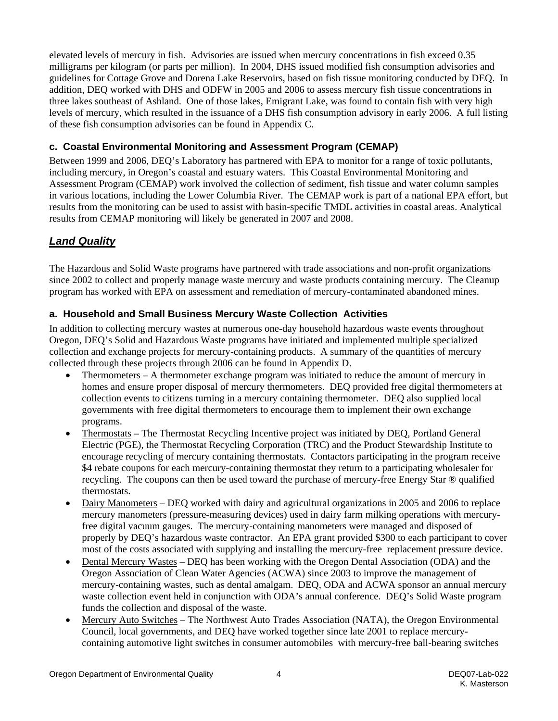elevated levels of mercury in fish. Advisories are issued when mercury concentrations in fish exceed 0.35 milligrams per kilogram (or parts per million). In 2004, DHS issued modified fish consumption advisories and guidelines for Cottage Grove and Dorena Lake Reservoirs, based on fish tissue monitoring conducted by DEQ. In addition, DEQ worked with DHS and ODFW in 2005 and 2006 to assess mercury fish tissue concentrations in three lakes southeast of Ashland. One of those lakes, Emigrant Lake, was found to contain fish with very high levels of mercury, which resulted in the issuance of a DHS fish consumption advisory in early 2006. A full listing of these fish consumption advisories can be found in Appendix C.

#### **c. Coastal Environmental Monitoring and Assessment Program (CEMAP)**

Between 1999 and 2006, DEQ's Laboratory has partnered with EPA to monitor for a range of toxic pollutants, including mercury, in Oregon's coastal and estuary waters. This Coastal Environmental Monitoring and Assessment Program (CEMAP) work involved the collection of sediment, fish tissue and water column samples in various locations, including the Lower Columbia River. The CEMAP work is part of a national EPA effort, but results from the monitoring can be used to assist with basin-specific TMDL activities in coastal areas. Analytical results from CEMAP monitoring will likely be generated in 2007 and 2008.

# *Land Quality*

The Hazardous and Solid Waste programs have partnered with trade associations and non-profit organizations since 2002 to collect and properly manage waste mercury and waste products containing mercury. The Cleanup program has worked with EPA on assessment and remediation of mercury-contaminated abandoned mines.

#### **a. Household and Small Business Mercury Waste Collection Activities**

In addition to collecting mercury wastes at numerous one-day household hazardous waste events throughout Oregon, DEQ's Solid and Hazardous Waste programs have initiated and implemented multiple specialized collection and exchange projects for mercury-containing products. A summary of the quantities of mercury collected through these projects through 2006 can be found in Appendix D.

- Thermometers A thermometer exchange program was initiated to reduce the amount of mercury in homes and ensure proper disposal of mercury thermometers. DEQ provided free digital thermometers at collection events to citizens turning in a mercury containing thermometer. DEQ also supplied local governments with free digital thermometers to encourage them to implement their own exchange programs.
- Thermostats The Thermostat Recycling Incentive project was initiated by DEQ, Portland General Electric (PGE), the Thermostat Recycling Corporation (TRC) and the Product Stewardship Institute to encourage recycling of mercury containing thermostats. Contactors participating in the program receive \$4 rebate coupons for each mercury-containing thermostat they return to a participating wholesaler for recycling. The coupons can then be used toward the purchase of mercury-free Energy Star ® qualified thermostats.
- Dairy Manometers DEQ worked with dairy and agricultural organizations in 2005 and 2006 to replace mercury manometers (pressure-measuring devices) used in dairy farm milking operations with mercuryfree digital vacuum gauges. The mercury-containing manometers were managed and disposed of properly by DEQ's hazardous waste contractor. An EPA grant provided \$300 to each participant to cover most of the costs associated with supplying and installing the mercury-free replacement pressure device.
- Dental Mercury Wastes DEQ has been working with the Oregon Dental Association (ODA) and the Oregon Association of Clean Water Agencies (ACWA) since 2003 to improve the management of mercury-containing wastes, such as dental amalgam. DEQ, ODA and ACWA sponsor an annual mercury waste collection event held in conjunction with ODA's annual conference. DEQ's Solid Waste program funds the collection and disposal of the waste.
- Mercury Auto Switches The Northwest Auto Trades Association (NATA), the Oregon Environmental Council, local governments, and DEQ have worked together since late 2001 to replace mercurycontaining automotive light switches in consumer automobiles with mercury-free ball-bearing switches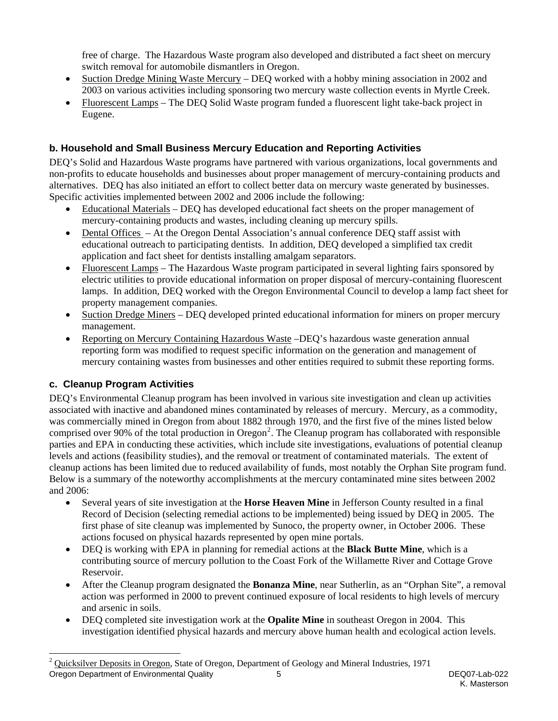free of charge. The Hazardous Waste program also developed and distributed a fact sheet on mercury switch removal for automobile dismantlers in Oregon.

- Suction Dredge Mining Waste Mercury DEO worked with a hobby mining association in 2002 and 2003 on various activities including sponsoring two mercury waste collection events in Myrtle Creek.
- Fluorescent Lamps The DEQ Solid Waste program funded a fluorescent light take-back project in Eugene.

### **b. Household and Small Business Mercury Education and Reporting Activities**

DEQ's Solid and Hazardous Waste programs have partnered with various organizations, local governments and non-profits to educate households and businesses about proper management of mercury-containing products and alternatives. DEQ has also initiated an effort to collect better data on mercury waste generated by businesses. Specific activities implemented between 2002 and 2006 include the following:

- Educational Materials DEQ has developed educational fact sheets on the proper management of mercury-containing products and wastes, including cleaning up mercury spills.
- Dental Offices At the Oregon Dental Association's annual conference DEQ staff assist with educational outreach to participating dentists. In addition, DEQ developed a simplified tax credit application and fact sheet for dentists installing amalgam separators.
- Fluorescent Lamps The Hazardous Waste program participated in several lighting fairs sponsored by electric utilities to provide educational information on proper disposal of mercury-containing fluorescent lamps. In addition, DEQ worked with the Oregon Environmental Council to develop a lamp fact sheet for property management companies.
- Suction Dredge Miners DEQ developed printed educational information for miners on proper mercury management.
- Reporting on Mercury Containing Hazardous Waste –DEQ's hazardous waste generation annual reporting form was modified to request specific information on the generation and management of mercury containing wastes from businesses and other entities required to submit these reporting forms.

### **c. Cleanup Program Activities**

1

DEQ's Environmental Cleanup program has been involved in various site investigation and clean up activities associated with inactive and abandoned mines contaminated by releases of mercury. Mercury, as a commodity, was commercially mined in Oregon from about 1882 through 1970, and the first five of the mines listed below comprised over 90% of the total production in Oregon<sup>[2](#page-6-0)</sup>. The Cleanup program has collaborated with responsible parties and EPA in conducting these activities, which include site investigations, evaluations of potential cleanup levels and actions (feasibility studies), and the removal or treatment of contaminated materials. The extent of cleanup actions has been limited due to reduced availability of funds, most notably the Orphan Site program fund. Below is a summary of the noteworthy accomplishments at the mercury contaminated mine sites between 2002 and 2006:

- Several years of site investigation at the **Horse Heaven Mine** in Jefferson County resulted in a final Record of Decision (selecting remedial actions to be implemented) being issued by DEQ in 2005. The first phase of site cleanup was implemented by Sunoco, the property owner, in October 2006. These actions focused on physical hazards represented by open mine portals.
- DEQ is working with EPA in planning for remedial actions at the **Black Butte Mine**, which is a contributing source of mercury pollution to the Coast Fork of the Willamette River and Cottage Grove Reservoir.
- After the Cleanup program designated the **Bonanza Mine**, near Sutherlin, as an "Orphan Site", a removal action was performed in 2000 to prevent continued exposure of local residents to high levels of mercury and arsenic in soils.
- DEQ completed site investigation work at the **Opalite Mine** in southeast Oregon in 2004. This investigation identified physical hazards and mercury above human health and ecological action levels.

<span id="page-6-0"></span>Oregon Department of Environmental Quality 5 DEQ07-Lab-022 <sup>2</sup> Quicksilver Deposits in Oregon, State of Oregon, Department of Geology and Mineral Industries, 1971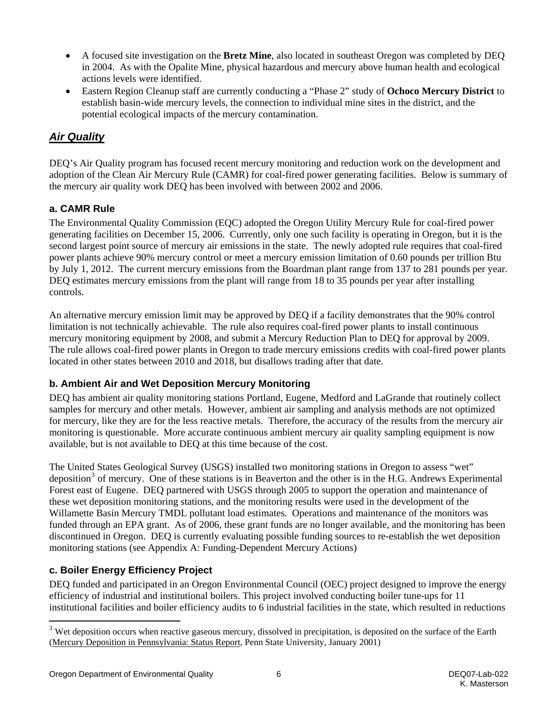- A focused site investigation on the **Bretz Mine**, also located in southeast Oregon was completed by DEQ in 2004. As with the Opalite Mine, physical hazardous and mercury above human health and ecological actions levels were identified.
- Eastern Region Cleanup staff are currently conducting a "Phase 2" study of **Ochoco Mercury District** to establish basin-wide mercury levels, the connection to individual mine sites in the district, and the potential ecological impacts of the mercury contamination.

## *Air Quality*

DEQ's Air Quality program has focused recent mercury monitoring and reduction work on the development and adoption of the Clean Air Mercury Rule (CAMR) for coal-fired power generating facilities. Below is summary of the mercury air quality work DEQ has been involved with between 2002 and 2006.

#### **a. CAMR Rule**

The Environmental Quality Commission (EQC) adopted the Oregon Utility Mercury Rule for coal-fired power generating facilities on December 15, 2006. Currently, only one such facility is operating in Oregon, but it is the second largest point source of mercury air emissions in the state. The newly adopted rule requires that coal-fired power plants achieve 90% mercury control or meet a mercury emission limitation of 0.60 pounds per trillion Btu by July 1, 2012. The current mercury emissions from the Boardman plant range from 137 to 281 pounds per year. DEQ estimates mercury emissions from the plant will range from 18 to 35 pounds per year after installing controls.

An alternative mercury emission limit may be approved by DEQ if a facility demonstrates that the 90% control limitation is not technically achievable. The rule also requires coal-fired power plants to install continuous mercury monitoring equipment by 2008, and submit a Mercury Reduction Plan to DEQ for approval by 2009. The rule allows coal-fired power plants in Oregon to trade mercury emissions credits with coal-fired power plants located in other states between 2010 and 2018, but disallows trading after that date.

### **b. Ambient Air and Wet Deposition Mercury Monitoring**

DEQ has ambient air quality monitoring stations Portland, Eugene, Medford and LaGrande that routinely collect samples for mercury and other metals. However, ambient air sampling and analysis methods are not optimized for mercury, like they are for the less reactive metals. Therefore, the accuracy of the results from the mercury air monitoring is questionable. More accurate continuous ambient mercury air quality sampling equipment is now available, but is not available to DEQ at this time because of the cost.

The United States Geological Survey (USGS) installed two monitoring stations in Oregon to assess "wet" deposition<sup>[3](#page-7-0)</sup> of mercury. One of these stations is in Beaverton and the other is in the H.G. Andrews Experimental Forest east of Eugene. DEQ partnered with USGS through 2005 to support the operation and maintenance of these wet deposition monitoring stations, and the monitoring results were used in the development of the Willamette Basin Mercury TMDL pollutant load estimates. Operations and maintenance of the monitors was funded through an EPA grant. As of 2006, these grant funds are no longer available, and the monitoring has been discontinued in Oregon. DEQ is currently evaluating possible funding sources to re-establish the wet deposition monitoring stations (see Appendix A: Funding-Dependent Mercury Actions)

### **c. Boiler Energy Efficiency Project**

DEQ funded and participated in an Oregon Environmental Council (OEC) project designed to improve the energy efficiency of industrial and institutional boilers. This project involved conducting boiler tune-ups for 11 institutional facilities and boiler efficiency audits to 6 industrial facilities in the state, which resulted in reductions

l

<span id="page-7-0"></span><sup>&</sup>lt;sup>3</sup> Wet deposition occurs when reactive gaseous mercury, dissolved in precipitation, is deposited on the surface of the Earth (Mercury Deposition in Pennsylvania: Status Report, Penn State University, January 2001)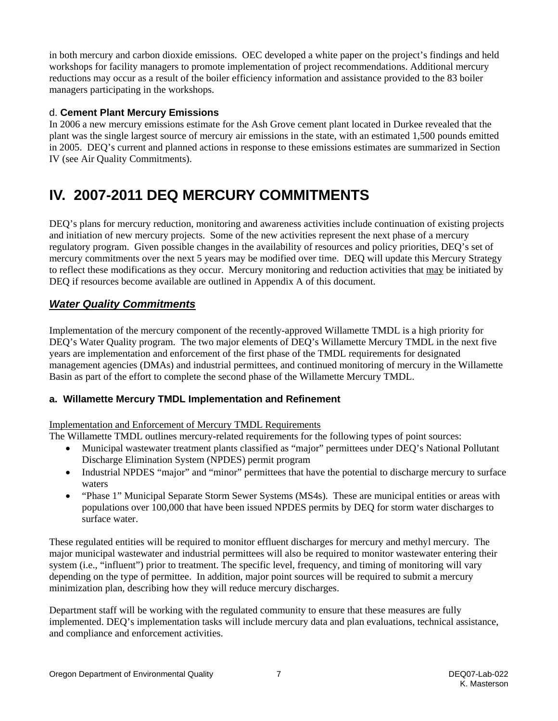<span id="page-8-0"></span>in both mercury and carbon dioxide emissions. OEC developed a white paper on the project's findings and held workshops for facility managers to promote implementation of project recommendations. Additional mercury reductions may occur as a result of the boiler efficiency information and assistance provided to the 83 boiler managers participating in the workshops.

#### d. **Cement Plant Mercury Emissions**

In 2006 a new mercury emissions estimate for the Ash Grove cement plant located in Durkee revealed that the plant was the single largest source of mercury air emissions in the state, with an estimated 1,500 pounds emitted in 2005. DEQ's current and planned actions in response to these emissions estimates are summarized in Section IV (see Air Quality Commitments).

# **IV. 2007-2011 DEQ MERCURY COMMITMENTS**

DEQ's plans for mercury reduction, monitoring and awareness activities include continuation of existing projects and initiation of new mercury projects. Some of the new activities represent the next phase of a mercury regulatory program. Given possible changes in the availability of resources and policy priorities, DEQ's set of mercury commitments over the next 5 years may be modified over time. DEQ will update this Mercury Strategy to reflect these modifications as they occur. Mercury monitoring and reduction activities that may be initiated by DEQ if resources become available are outlined in Appendix A of this document.

## *Water Quality Commitments*

Implementation of the mercury component of the recently-approved Willamette TMDL is a high priority for DEQ's Water Quality program. The two major elements of DEQ's Willamette Mercury TMDL in the next five years are implementation and enforcement of the first phase of the TMDL requirements for designated management agencies (DMAs) and industrial permittees, and continued monitoring of mercury in the Willamette Basin as part of the effort to complete the second phase of the Willamette Mercury TMDL.

### **a. Willamette Mercury TMDL Implementation and Refinement**

#### Implementation and Enforcement of Mercury TMDL Requirements

The Willamette TMDL outlines mercury-related requirements for the following types of point sources:

- Municipal wastewater treatment plants classified as "major" permittees under DEQ's National Pollutant Discharge Elimination System (NPDES) permit program
- Industrial NPDES "major" and "minor" permittees that have the potential to discharge mercury to surface waters
- "Phase 1" Municipal Separate Storm Sewer Systems (MS4s). These are municipal entities or areas with populations over 100,000 that have been issued NPDES permits by DEQ for storm water discharges to surface water.

These regulated entities will be required to monitor effluent discharges for mercury and methyl mercury. The major municipal wastewater and industrial permittees will also be required to monitor wastewater entering their system (i.e., "influent") prior to treatment. The specific level, frequency, and timing of monitoring will vary depending on the type of permittee. In addition, major point sources will be required to submit a mercury minimization plan, describing how they will reduce mercury discharges.

Department staff will be working with the regulated community to ensure that these measures are fully implemented. DEQ's implementation tasks will include mercury data and plan evaluations, technical assistance, and compliance and enforcement activities.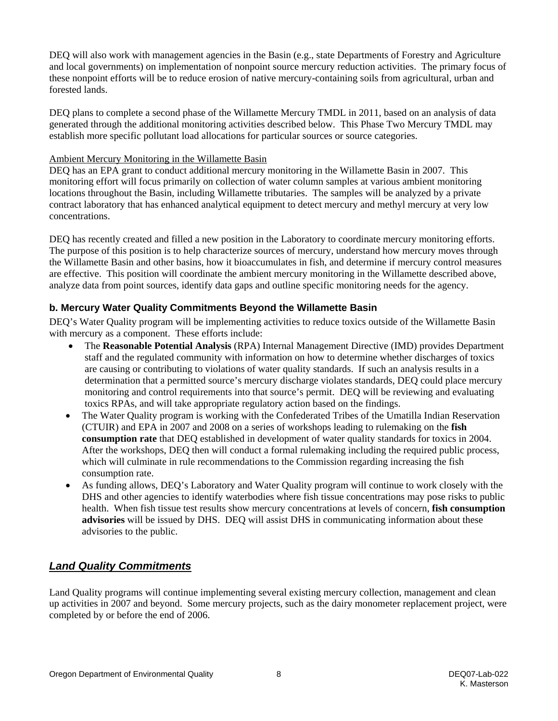DEQ will also work with management agencies in the Basin (e.g., state Departments of Forestry and Agriculture and local governments) on implementation of nonpoint source mercury reduction activities. The primary focus of these nonpoint efforts will be to reduce erosion of native mercury-containing soils from agricultural, urban and forested lands.

DEQ plans to complete a second phase of the Willamette Mercury TMDL in 2011, based on an analysis of data generated through the additional monitoring activities described below. This Phase Two Mercury TMDL may establish more specific pollutant load allocations for particular sources or source categories.

#### Ambient Mercury Monitoring in the Willamette Basin

DEQ has an EPA grant to conduct additional mercury monitoring in the Willamette Basin in 2007. This monitoring effort will focus primarily on collection of water column samples at various ambient monitoring locations throughout the Basin, including Willamette tributaries. The samples will be analyzed by a private contract laboratory that has enhanced analytical equipment to detect mercury and methyl mercury at very low concentrations.

DEQ has recently created and filled a new position in the Laboratory to coordinate mercury monitoring efforts. The purpose of this position is to help characterize sources of mercury, understand how mercury moves through the Willamette Basin and other basins, how it bioaccumulates in fish, and determine if mercury control measures are effective. This position will coordinate the ambient mercury monitoring in the Willamette described above, analyze data from point sources, identify data gaps and outline specific monitoring needs for the agency.

### **b. Mercury Water Quality Commitments Beyond the Willamette Basin**

DEQ's Water Quality program will be implementing activities to reduce toxics outside of the Willamette Basin with mercury as a component. These efforts include:

- The **Reasonable Potential Analysis** (RPA) Internal Management Directive (IMD) provides Department staff and the regulated community with information on how to determine whether discharges of toxics are causing or contributing to violations of water quality standards. If such an analysis results in a determination that a permitted source's mercury discharge violates standards, DEQ could place mercury monitoring and control requirements into that source's permit. DEQ will be reviewing and evaluating toxics RPAs, and will take appropriate regulatory action based on the findings.
- The Water Quality program is working with the Confederated Tribes of the Umatilla Indian Reservation (CTUIR) and EPA in 2007 and 2008 on a series of workshops leading to rulemaking on the **fish consumption rate** that DEQ established in development of water quality standards for toxics in 2004. After the workshops, DEQ then will conduct a formal rulemaking including the required public process, which will culminate in rule recommendations to the Commission regarding increasing the fish consumption rate.
- As funding allows, DEQ's Laboratory and Water Quality program will continue to work closely with the DHS and other agencies to identify waterbodies where fish tissue concentrations may pose risks to public health. When fish tissue test results show mercury concentrations at levels of concern, **fish consumption advisories** will be issued by DHS. DEQ will assist DHS in communicating information about these advisories to the public.

## *Land Quality Commitments*

Land Quality programs will continue implementing several existing mercury collection, management and clean up activities in 2007 and beyond. Some mercury projects, such as the dairy monometer replacement project, were completed by or before the end of 2006.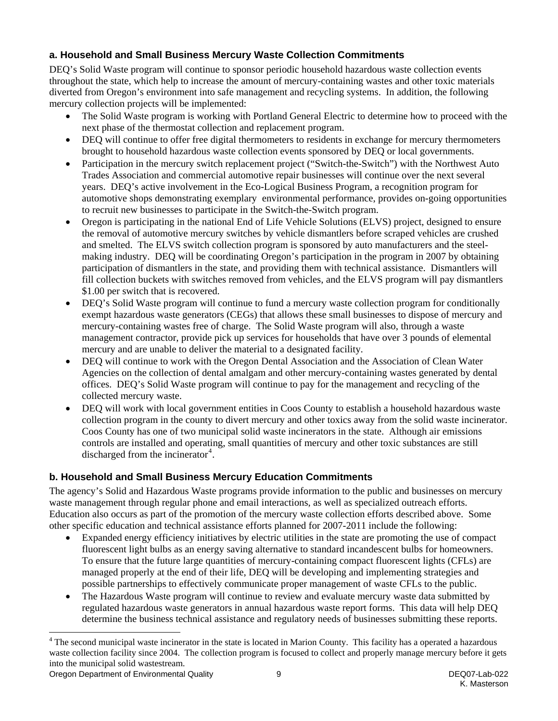### **a. Household and Small Business Mercury Waste Collection Commitments**

DEQ's Solid Waste program will continue to sponsor periodic household hazardous waste collection events throughout the state, which help to increase the amount of mercury-containing wastes and other toxic materials diverted from Oregon's environment into safe management and recycling systems. In addition, the following mercury collection projects will be implemented:

- The Solid Waste program is working with Portland General Electric to determine how to proceed with the next phase of the thermostat collection and replacement program.
- DEQ will continue to offer free digital thermometers to residents in exchange for mercury thermometers brought to household hazardous waste collection events sponsored by DEQ or local governments.
- Participation in the mercury switch replacement project ("Switch-the-Switch") with the Northwest Auto Trades Association and commercial automotive repair businesses will continue over the next several years. DEQ's active involvement in the Eco-Logical Business Program, a recognition program for automotive shops demonstrating exemplary environmental performance, provides on-going opportunities to recruit new businesses to participate in the Switch-the-Switch program.
- Oregon is participating in the national End of Life Vehicle Solutions (ELVS) project, designed to ensure the removal of automotive mercury switches by vehicle dismantlers before scraped vehicles are crushed and smelted. The ELVS switch collection program is sponsored by auto manufacturers and the steelmaking industry. DEQ will be coordinating Oregon's participation in the program in 2007 by obtaining participation of dismantlers in the state, and providing them with technical assistance. Dismantlers will fill collection buckets with switches removed from vehicles, and the ELVS program will pay dismantlers \$1.00 per switch that is recovered.
- DEQ's Solid Waste program will continue to fund a mercury waste collection program for conditionally exempt hazardous waste generators (CEGs) that allows these small businesses to dispose of mercury and mercury-containing wastes free of charge. The Solid Waste program will also, through a waste management contractor, provide pick up services for households that have over 3 pounds of elemental mercury and are unable to deliver the material to a designated facility.
- DEQ will continue to work with the Oregon Dental Association and the Association of Clean Water Agencies on the collection of dental amalgam and other mercury-containing wastes generated by dental offices. DEQ's Solid Waste program will continue to pay for the management and recycling of the collected mercury waste.
- DEQ will work with local government entities in Coos County to establish a household hazardous waste collection program in the county to divert mercury and other toxics away from the solid waste incinerator. Coos County has one of two municipal solid waste incinerators in the state. Although air emissions controls are installed and operating, small quantities of mercury and other toxic substances are still discharged from the incinerator<sup>[4](#page-10-0)</sup>.

## **b. Household and Small Business Mercury Education Commitments**

The agency's Solid and Hazardous Waste programs provide information to the public and businesses on mercury waste management through regular phone and email interactions, as well as specialized outreach efforts. Education also occurs as part of the promotion of the mercury waste collection efforts described above. Some other specific education and technical assistance efforts planned for 2007-2011 include the following:

- Expanded energy efficiency initiatives by electric utilities in the state are promoting the use of compact fluorescent light bulbs as an energy saving alternative to standard incandescent bulbs for homeowners. To ensure that the future large quantities of mercury-containing compact fluorescent lights (CFLs) are managed properly at the end of their life, DEQ will be developing and implementing strategies and possible partnerships to effectively communicate proper management of waste CFLs to the public.
- The Hazardous Waste program will continue to review and evaluate mercury waste data submitted by regulated hazardous waste generators in annual hazardous waste report forms. This data will help DEQ determine the business technical assistance and regulatory needs of businesses submitting these reports.

<span id="page-10-0"></span>The second municipal waste incinerator in the state is located in Marion County. This facility has a operated a hazardous<br><sup>4</sup> The second municipal waste incinerator in the state is located in Marion County. This facility h waste collection facility since 2004. The collection program is focused to collect and properly manage mercury before it gets into the municipal solid wastestream.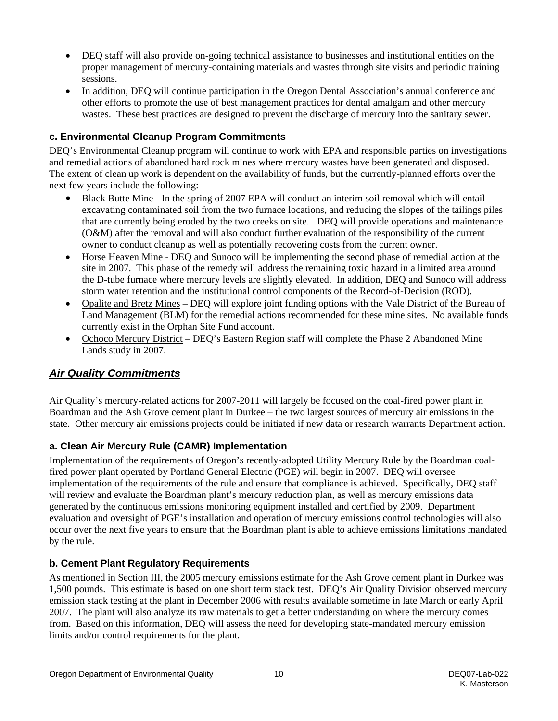- DEQ staff will also provide on-going technical assistance to businesses and institutional entities on the proper management of mercury-containing materials and wastes through site visits and periodic training sessions.
- In addition, DEQ will continue participation in the Oregon Dental Association's annual conference and other efforts to promote the use of best management practices for dental amalgam and other mercury wastes. These best practices are designed to prevent the discharge of mercury into the sanitary sewer.

#### **c. Environmental Cleanup Program Commitments**

DEQ's Environmental Cleanup program will continue to work with EPA and responsible parties on investigations and remedial actions of abandoned hard rock mines where mercury wastes have been generated and disposed. The extent of clean up work is dependent on the availability of funds, but the currently-planned efforts over the next few years include the following:

- Black Butte Mine In the spring of 2007 EPA will conduct an interim soil removal which will entail excavating contaminated soil from the two furnace locations, and reducing the slopes of the tailings piles that are currently being eroded by the two creeks on site. DEQ will provide operations and maintenance (O&M) after the removal and will also conduct further evaluation of the responsibility of the current owner to conduct cleanup as well as potentially recovering costs from the current owner.
- Horse Heaven Mine DEQ and Sunoco will be implementing the second phase of remedial action at the site in 2007. This phase of the remedy will address the remaining toxic hazard in a limited area around the D-tube furnace where mercury levels are slightly elevated. In addition, DEQ and Sunoco will address storm water retention and the institutional control components of the Record-of-Decision (ROD).
- Opalite and Bretz Mines DEQ will explore joint funding options with the Vale District of the Bureau of Land Management (BLM) for the remedial actions recommended for these mine sites. No available funds currently exist in the Orphan Site Fund account.
- Ochoco Mercury District DEQ's Eastern Region staff will complete the Phase 2 Abandoned Mine Lands study in 2007.

## *Air Quality Commitments*

Air Quality's mercury-related actions for 2007-2011 will largely be focused on the coal-fired power plant in Boardman and the Ash Grove cement plant in Durkee – the two largest sources of mercury air emissions in the state. Other mercury air emissions projects could be initiated if new data or research warrants Department action.

### **a. Clean Air Mercury Rule (CAMR) Implementation**

Implementation of the requirements of Oregon's recently-adopted Utility Mercury Rule by the Boardman coalfired power plant operated by Portland General Electric (PGE) will begin in 2007. DEQ will oversee implementation of the requirements of the rule and ensure that compliance is achieved. Specifically, DEQ staff will review and evaluate the Boardman plant's mercury reduction plan, as well as mercury emissions data generated by the continuous emissions monitoring equipment installed and certified by 2009. Department evaluation and oversight of PGE's installation and operation of mercury emissions control technologies will also occur over the next five years to ensure that the Boardman plant is able to achieve emissions limitations mandated by the rule.

#### **b. Cement Plant Regulatory Requirements**

As mentioned in Section III, the 2005 mercury emissions estimate for the Ash Grove cement plant in Durkee was 1,500 pounds. This estimate is based on one short term stack test. DEQ's Air Quality Division observed mercury emission stack testing at the plant in December 2006 with results available sometime in late March or early April 2007. The plant will also analyze its raw materials to get a better understanding on where the mercury comes from. Based on this information, DEQ will assess the need for developing state-mandated mercury emission limits and/or control requirements for the plant.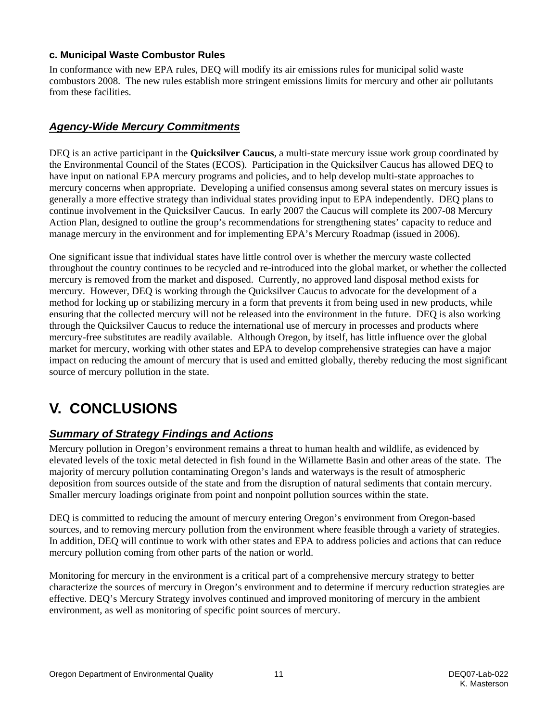#### <span id="page-12-0"></span>**c. Municipal Waste Combustor Rules**

In conformance with new EPA rules, DEQ will modify its air emissions rules for municipal solid waste combustors 2008. The new rules establish more stringent emissions limits for mercury and other air pollutants from these facilities.

### *Agency-Wide Mercury Commitments*

DEQ is an active participant in the **Quicksilver Caucus**, a multi-state mercury issue work group coordinated by the Environmental Council of the States (ECOS). Participation in the Quicksilver Caucus has allowed DEQ to have input on national EPA mercury programs and policies, and to help develop multi-state approaches to mercury concerns when appropriate. Developing a unified consensus among several states on mercury issues is generally a more effective strategy than individual states providing input to EPA independently. DEQ plans to continue involvement in the Quicksilver Caucus. In early 2007 the Caucus will complete its 2007-08 Mercury Action Plan, designed to outline the group's recommendations for strengthening states' capacity to reduce and manage mercury in the environment and for implementing EPA's Mercury Roadmap (issued in 2006).

One significant issue that individual states have little control over is whether the mercury waste collected throughout the country continues to be recycled and re-introduced into the global market, or whether the collected mercury is removed from the market and disposed. Currently, no approved land disposal method exists for mercury. However, DEQ is working through the Quicksilver Caucus to advocate for the development of a method for locking up or stabilizing mercury in a form that prevents it from being used in new products, while ensuring that the collected mercury will not be released into the environment in the future. DEQ is also working through the Quicksilver Caucus to reduce the international use of mercury in processes and products where mercury-free substitutes are readily available. Although Oregon, by itself, has little influence over the global market for mercury, working with other states and EPA to develop comprehensive strategies can have a major impact on reducing the amount of mercury that is used and emitted globally, thereby reducing the most significant source of mercury pollution in the state.

# **V. CONCLUSIONS**

## *Summary of Strategy Findings and Actions*

Mercury pollution in Oregon's environment remains a threat to human health and wildlife, as evidenced by elevated levels of the toxic metal detected in fish found in the Willamette Basin and other areas of the state. The majority of mercury pollution contaminating Oregon's lands and waterways is the result of atmospheric deposition from sources outside of the state and from the disruption of natural sediments that contain mercury. Smaller mercury loadings originate from point and nonpoint pollution sources within the state.

DEQ is committed to reducing the amount of mercury entering Oregon's environment from Oregon-based sources, and to removing mercury pollution from the environment where feasible through a variety of strategies. In addition, DEQ will continue to work with other states and EPA to address policies and actions that can reduce mercury pollution coming from other parts of the nation or world.

Monitoring for mercury in the environment is a critical part of a comprehensive mercury strategy to better characterize the sources of mercury in Oregon's environment and to determine if mercury reduction strategies are effective. DEQ's Mercury Strategy involves continued and improved monitoring of mercury in the ambient environment, as well as monitoring of specific point sources of mercury.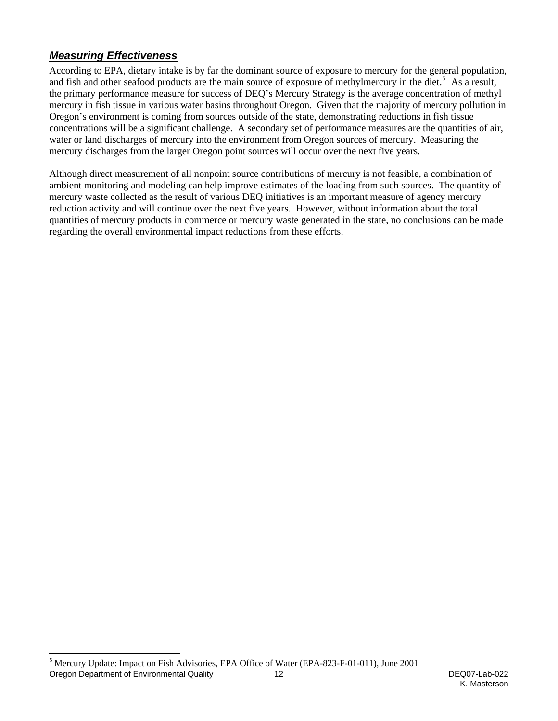# *Measuring Effectiveness*

According to EPA, dietary intake is by far the dominant source of exposure to mercury for the general population, and fish and other seafood products are the main source of exposure of methylmercury in the diet.<sup>[5](#page-13-0)</sup> As a result, the primary performance measure for success of DEQ's Mercury Strategy is the average concentration of methyl mercury in fish tissue in various water basins throughout Oregon. Given that the majority of mercury pollution in Oregon's environment is coming from sources outside of the state, demonstrating reductions in fish tissue concentrations will be a significant challenge. A secondary set of performance measures are the quantities of air, water or land discharges of mercury into the environment from Oregon sources of mercury. Measuring the mercury discharges from the larger Oregon point sources will occur over the next five years.

Although direct measurement of all nonpoint source contributions of mercury is not feasible, a combination of ambient monitoring and modeling can help improve estimates of the loading from such sources. The quantity of mercury waste collected as the result of various DEQ initiatives is an important measure of agency mercury reduction activity and will continue over the next five years. However, without information about the total quantities of mercury products in commerce or mercury waste generated in the state, no conclusions can be made regarding the overall environmental impact reductions from these efforts.

<span id="page-13-0"></span>l Oregon Department of Environmental Quality 12 12 DEQ07-Lab-022 <sup>5</sup> Mercury Update: Impact on Fish Advisories, EPA Office of Water (EPA-823-F-01-011), June 2001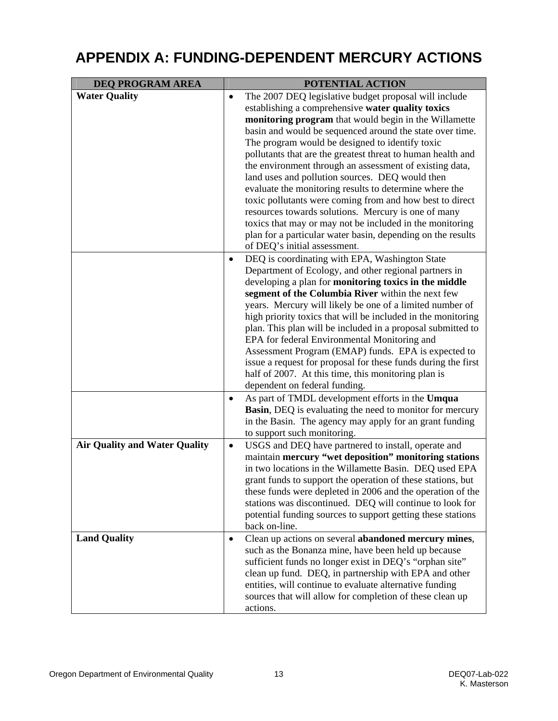# <span id="page-14-0"></span>**APPENDIX A: FUNDING-DEPENDENT MERCURY ACTIONS**

| <b>DEQ PROGRAM AREA</b>              | POTENTIAL ACTION                                                                                                                                                                                                                                                                                                                                                                                                                                                                                                                                                                                                                                                                                                                                                                             |  |  |
|--------------------------------------|----------------------------------------------------------------------------------------------------------------------------------------------------------------------------------------------------------------------------------------------------------------------------------------------------------------------------------------------------------------------------------------------------------------------------------------------------------------------------------------------------------------------------------------------------------------------------------------------------------------------------------------------------------------------------------------------------------------------------------------------------------------------------------------------|--|--|
| <b>Water Quality</b>                 | The 2007 DEQ legislative budget proposal will include<br>$\bullet$<br>establishing a comprehensive water quality toxics<br>monitoring program that would begin in the Willamette<br>basin and would be sequenced around the state over time.<br>The program would be designed to identify toxic<br>pollutants that are the greatest threat to human health and<br>the environment through an assessment of existing data,<br>land uses and pollution sources. DEQ would then<br>evaluate the monitoring results to determine where the<br>toxic pollutants were coming from and how best to direct<br>resources towards solutions. Mercury is one of many<br>toxics that may or may not be included in the monitoring                                                                        |  |  |
|                                      | plan for a particular water basin, depending on the results<br>of DEQ's initial assessment.<br>DEQ is coordinating with EPA, Washington State<br>$\bullet$<br>Department of Ecology, and other regional partners in<br>developing a plan for monitoring toxics in the middle<br>segment of the Columbia River within the next few<br>years. Mercury will likely be one of a limited number of<br>high priority toxics that will be included in the monitoring<br>plan. This plan will be included in a proposal submitted to<br>EPA for federal Environmental Monitoring and<br>Assessment Program (EMAP) funds. EPA is expected to<br>issue a request for proposal for these funds during the first<br>half of 2007. At this time, this monitoring plan is<br>dependent on federal funding. |  |  |
|                                      | As part of TMDL development efforts in the Umqua<br>$\bullet$<br>Basin, DEQ is evaluating the need to monitor for mercury<br>in the Basin. The agency may apply for an grant funding<br>to support such monitoring.                                                                                                                                                                                                                                                                                                                                                                                                                                                                                                                                                                          |  |  |
| <b>Air Quality and Water Quality</b> | USGS and DEQ have partnered to install, operate and<br>$\bullet$<br>maintain mercury "wet deposition" monitoring stations<br>in two locations in the Willamette Basin. DEQ used EPA<br>grant funds to support the operation of these stations, but<br>these funds were depleted in 2006 and the operation of the<br>stations was discontinued. DEQ will continue to look for<br>potential funding sources to support getting these stations<br>back on-line.                                                                                                                                                                                                                                                                                                                                 |  |  |
| <b>Land Quality</b>                  | Clean up actions on several abandoned mercury mines,<br>$\bullet$<br>such as the Bonanza mine, have been held up because<br>sufficient funds no longer exist in DEQ's "orphan site"<br>clean up fund. DEQ, in partnership with EPA and other<br>entities, will continue to evaluate alternative funding<br>sources that will allow for completion of these clean up<br>actions.                                                                                                                                                                                                                                                                                                                                                                                                              |  |  |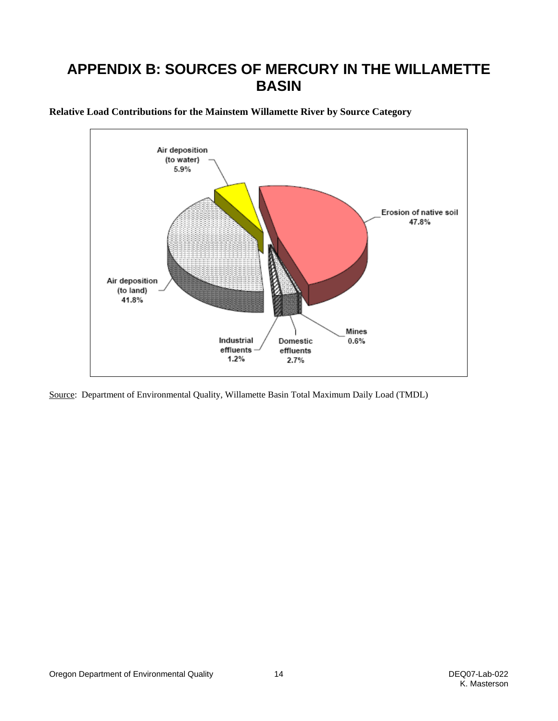# <span id="page-15-0"></span>**APPENDIX B: SOURCES OF MERCURY IN THE WILLAMETTE BASIN**



**Relative Load Contributions for the Mainstem Willamette River by Source Category** 

Source: Department of Environmental Quality, Willamette Basin Total Maximum Daily Load (TMDL)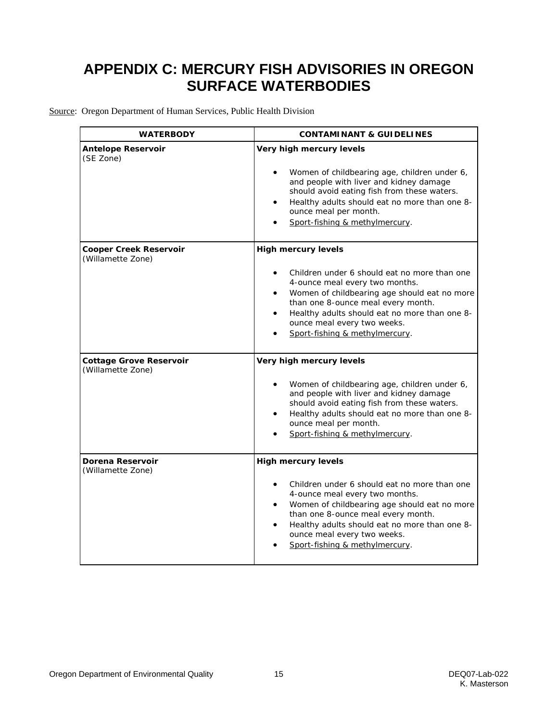# <span id="page-16-0"></span>**APPENDIX C: MERCURY FISH ADVISORIES IN OREGON SURFACE WATERBODIES**

Source: Oregon Department of Human Services, Public Health Division

| <b>WATERBODY</b>                                    | <b>CONTAMINANT &amp; GUIDELINES</b>                                                                                                                                                                                                                                                                                               |  |  |
|-----------------------------------------------------|-----------------------------------------------------------------------------------------------------------------------------------------------------------------------------------------------------------------------------------------------------------------------------------------------------------------------------------|--|--|
| <b>Antelope Reservoir</b><br>(SE Zone)              | Very high mercury levels<br>Women of childbearing age, children under 6,<br>and people with liver and kidney damage<br>should avoid eating fish from these waters.<br>Healthy adults should eat no more than one 8-<br>ounce meal per month.<br>Sport-fishing & methylmercury.                                                    |  |  |
| <b>Cooper Creek Reservoir</b><br>(Willamette Zone)  | <b>High mercury levels</b><br>Children under 6 should eat no more than one<br>4-ounce meal every two months.<br>Women of childbearing age should eat no more<br>$\bullet$<br>than one 8-ounce meal every month.<br>Healthy adults should eat no more than one 8-<br>ounce meal every two weeks.<br>Sport-fishing & methylmercury. |  |  |
| <b>Cottage Grove Reservoir</b><br>(Willamette Zone) | Very high mercury levels<br>Women of childbearing age, children under 6,<br>and people with liver and kidney damage<br>should avoid eating fish from these waters.<br>Healthy adults should eat no more than one 8-<br>ounce meal per month.<br>Sport-fishing & methylmercury.                                                    |  |  |
| Dorena Reservoir<br>(Willamette Zone)               | <b>High mercury levels</b><br>Children under 6 should eat no more than one<br>4-ounce meal every two months.<br>Women of childbearing age should eat no more<br>than one 8-ounce meal every month.<br>Healthy adults should eat no more than one 8-<br>$\bullet$<br>ounce meal every two weeks.<br>Sport-fishing & methylmercury. |  |  |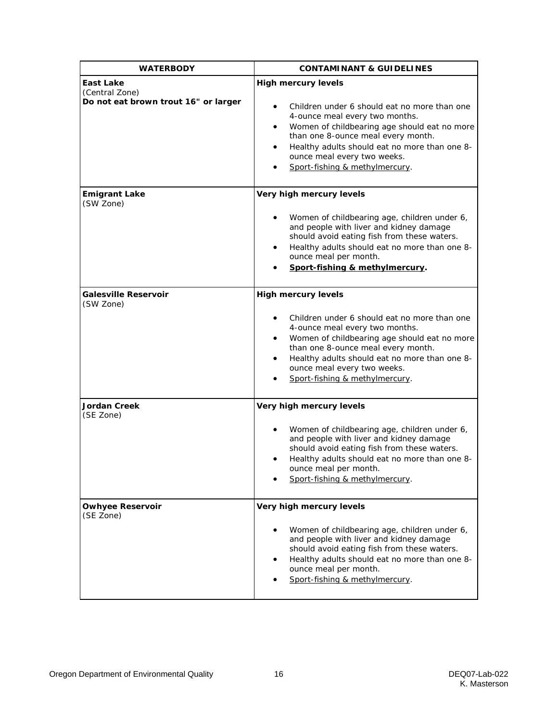| <b>WATERBODY</b>                                                    | <b>CONTAMINANT &amp; GUIDELINES</b>                                                                                                                                                                                                                                                                                                         |  |  |
|---------------------------------------------------------------------|---------------------------------------------------------------------------------------------------------------------------------------------------------------------------------------------------------------------------------------------------------------------------------------------------------------------------------------------|--|--|
| East Lake<br>(Central Zone)<br>Do not eat brown trout 16" or larger | <b>High mercury levels</b><br>Children under 6 should eat no more than one<br>$\bullet$<br>4-ounce meal every two months.<br>Women of childbearing age should eat no more<br>٠<br>than one 8-ounce meal every month.<br>Healthy adults should eat no more than one 8-<br>٠<br>ounce meal every two weeks.<br>Sport-fishing & methylmercury. |  |  |
| <b>Emigrant Lake</b><br>(SW Zone)                                   | Very high mercury levels<br>Women of childbearing age, children under 6,<br>$\bullet$<br>and people with liver and kidney damage<br>should avoid eating fish from these waters.<br>Healthy adults should eat no more than one 8-<br>$\bullet$<br>ounce meal per month.<br>Sport-fishing & methylmercury.                                    |  |  |
| <b>Galesville Reservoir</b><br>(SW Zone)                            | <b>High mercury levels</b><br>Children under 6 should eat no more than one<br>4-ounce meal every two months.<br>Women of childbearing age should eat no more<br>٠<br>than one 8-ounce meal every month.<br>Healthy adults should eat no more than one 8-<br>$\bullet$<br>ounce meal every two weeks.<br>Sport-fishing & methylmercury.      |  |  |
| <b>Jordan Creek</b><br>(SE Zone)                                    | Very high mercury levels<br>Women of childbearing age, children under 6,<br>and people with liver and kidney damage<br>should avoid eating fish from these waters.<br>Healthy adults should eat no more than one 8-<br>ounce meal per month.<br>Sport-fishing & methylmercury.                                                              |  |  |
| <b>Owhyee Reservoir</b><br>(SE Zone)                                | Very high mercury levels<br>Women of childbearing age, children under 6,<br>٠<br>and people with liver and kidney damage<br>should avoid eating fish from these waters.<br>Healthy adults should eat no more than one 8-<br>ounce meal per month.<br>Sport-fishing & methylmercury.                                                         |  |  |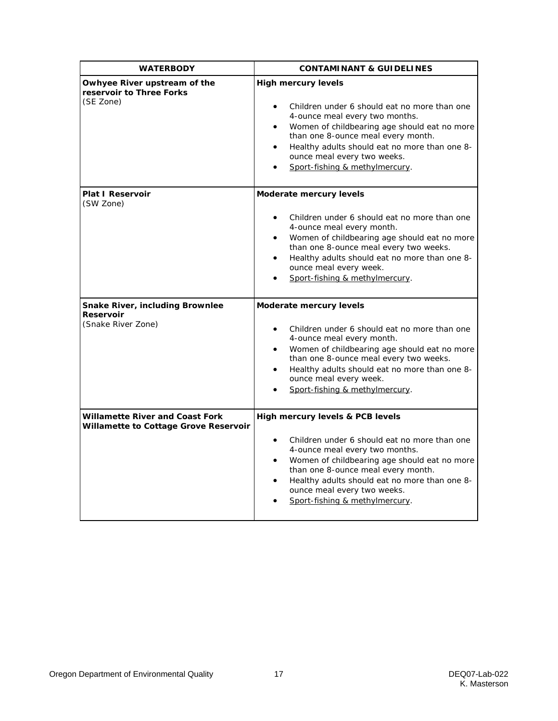| <b>WATERBODY</b>                                                                | <b>CONTAMINANT &amp; GUIDELINES</b>                                                                                                                                                                                                                                                                                               |  |  |
|---------------------------------------------------------------------------------|-----------------------------------------------------------------------------------------------------------------------------------------------------------------------------------------------------------------------------------------------------------------------------------------------------------------------------------|--|--|
| Owhyee River upstream of the<br>reservoir to Three Forks<br>(SE Zone)           | <b>High mercury levels</b><br>Children under 6 should eat no more than one<br>4-ounce meal every two months.<br>Women of childbearing age should eat no more<br>$\bullet$<br>than one 8-ounce meal every month.<br>Healthy adults should eat no more than one 8-<br>ounce meal every two weeks.<br>Sport-fishing & methylmercury. |  |  |
| <b>Plat I Reservoir</b><br>(SW Zone)                                            | Moderate mercury levels                                                                                                                                                                                                                                                                                                           |  |  |
|                                                                                 | Children under 6 should eat no more than one<br>4-ounce meal every month.<br>Women of childbearing age should eat no more<br>than one 8-ounce meal every two weeks.<br>Healthy adults should eat no more than one 8-<br>ounce meal every week.<br>Sport-fishing & methylmercury.                                                  |  |  |
| Snake River, including Brownlee<br><b>Reservoir</b>                             | Moderate mercury levels                                                                                                                                                                                                                                                                                                           |  |  |
| (Snake River Zone)                                                              | Children under 6 should eat no more than one<br>4-ounce meal every month.<br>Women of childbearing age should eat no more<br>than one 8-ounce meal every two weeks.<br>Healthy adults should eat no more than one 8-<br>ounce meal every week.<br>Sport-fishing & methylmercury.                                                  |  |  |
| <b>Willamette River and Coast Fork</b><br>Willamette to Cottage Grove Reservoir | High mercury levels & PCB levels                                                                                                                                                                                                                                                                                                  |  |  |
|                                                                                 | Children under 6 should eat no more than one<br>4-ounce meal every two months.<br>Women of childbearing age should eat no more<br>than one 8-ounce meal every month.<br>Healthy adults should eat no more than one 8-<br>$\bullet$<br>ounce meal every two weeks.<br>Sport-fishing & methylmercury.                               |  |  |